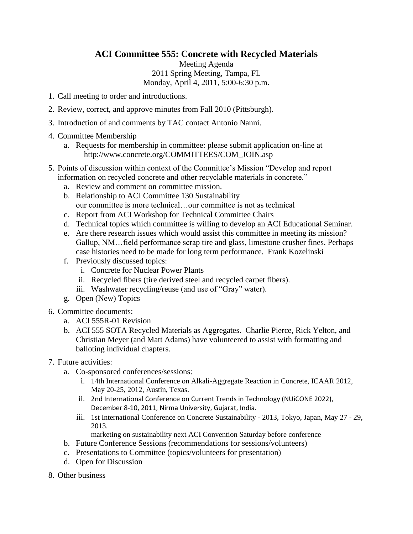## **ACI Committee 555: Concrete with Recycled Materials**

Meeting Agenda 2011 Spring Meeting, Tampa, FL Monday, April 4, 2011, 5:00-6:30 p.m.

- 1. Call meeting to order and introductions.
- 2. Review, correct, and approve minutes from Fall 2010 (Pittsburgh).
- 3. Introduction of and comments by TAC contact Antonio Nanni.
- 4. Committee Membership
	- a. Requests for membership in committee: please submit application on-line at http://www.concrete.org/COMMITTEES/COM\_JOIN.asp
- 5. Points of discussion within context of the Committee's Mission "Develop and report information on recycled concrete and other recyclable materials in concrete."
	- a. Review and comment on committee mission.
	- b. Relationship to ACI Committee 130 Sustainability our committee is more technical…our committee is not as technical
	- c. Report from ACI Workshop for Technical Committee Chairs
	- d. Technical topics which committee is willing to develop an ACI Educational Seminar.
	- e. Are there research issues which would assist this committee in meeting its mission? Gallup, NM…field performance scrap tire and glass, limestone crusher fines. Perhaps case histories need to be made for long term performance. Frank Kozelinski
	- f. Previously discussed topics:
		- i. Concrete for Nuclear Power Plants
		- ii. Recycled fibers (tire derived steel and recycled carpet fibers).
		- iii. Washwater recycling/reuse (and use of "Gray" water).
	- g. Open (New) Topics
- 6. Committee documents:
	- a. ACI 555R-01 Revision
	- b. ACI 555 SOTA Recycled Materials as Aggregates. Charlie Pierce, Rick Yelton, and Christian Meyer (and Matt Adams) have volunteered to assist with formatting and balloting individual chapters.
- 7. Future activities:
	- a. Co-sponsored conferences/sessions:
		- i. 14th International Conference on Alkali-Aggregate Reaction in Concrete, ICAAR 2012, May 20-25, 2012, Austin, Texas.
		- ii. 2nd International Conference on Current Trends in Technology (NUiCONE 2022), December 8‐10, 2011, Nirma University, Gujarat, India.
		- iii. 1st International Conference on Concrete Sustainability 2013, Tokyo, Japan, May 27 29, 2013.
			- marketing on sustainability next ACI Convention Saturday before conference
	- b. Future Conference Sessions (recommendations for sessions/volunteers)
	- c. Presentations to Committee (topics/volunteers for presentation)
	- d. Open for Discussion
- 8. Other business